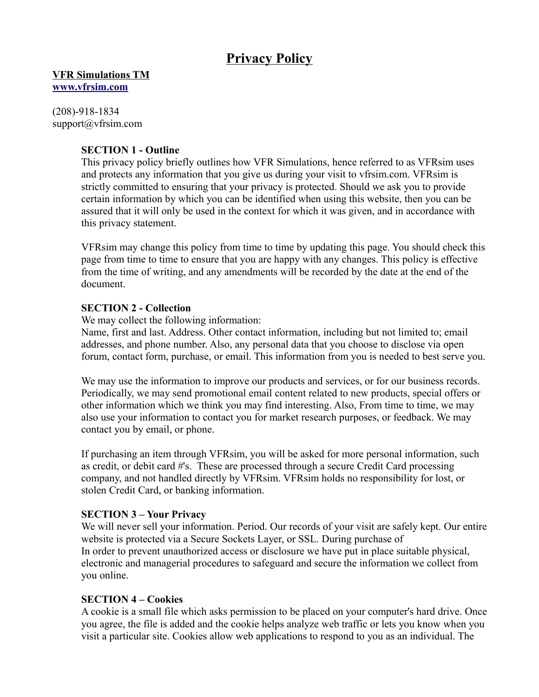# **Privacy Policy**

**VFR Simulations TM [www.vfrsim.com](http://www.vfrsim.com/)**

(208)-918-1834 support@vfrsim.com

## **SECTION 1 - Outline**

This privacy policy briefly outlines how VFR Simulations, hence referred to as VFRsim uses and protects any information that you give us during your visit to vfrsim.com. VFRsim is strictly committed to ensuring that your privacy is protected. Should we ask you to provide certain information by which you can be identified when using this website, then you can be assured that it will only be used in the context for which it was given, and in accordance with this privacy statement.

VFRsim may change this policy from time to time by updating this page. You should check this page from time to time to ensure that you are happy with any changes. This policy is effective from the time of writing, and any amendments will be recorded by the date at the end of the document.

## **SECTION 2 - Collection**

We may collect the following information:

Name, first and last. Address. Other contact information, including but not limited to; email addresses, and phone number. Also, any personal data that you choose to disclose via open forum, contact form, purchase, or email. This information from you is needed to best serve you.

We may use the information to improve our products and services, or for our business records. Periodically, we may send promotional email content related to new products, special offers or other information which we think you may find interesting. Also, From time to time, we may also use your information to contact you for market research purposes, or feedback. We may contact you by email, or phone.

If purchasing an item through VFRsim, you will be asked for more personal information, such as credit, or debit card #'s. These are processed through a secure Credit Card processing company, and not handled directly by VFRsim. VFRsim holds no responsibility for lost, or stolen Credit Card, or banking information.

#### **SECTION 3 – Your Privacy**

We will never sell your information. Period. Our records of your visit are safely kept. Our entire website is protected via a Secure Sockets Layer, or SSL. During purchase of In order to prevent unauthorized access or disclosure we have put in place suitable physical, electronic and managerial procedures to safeguard and secure the information we collect from you online.

# **SECTION 4 – Cookies**

A cookie is a small file which asks permission to be placed on your computer's hard drive. Once you agree, the file is added and the cookie helps analyze web traffic or lets you know when you visit a particular site. Cookies allow web applications to respond to you as an individual. The